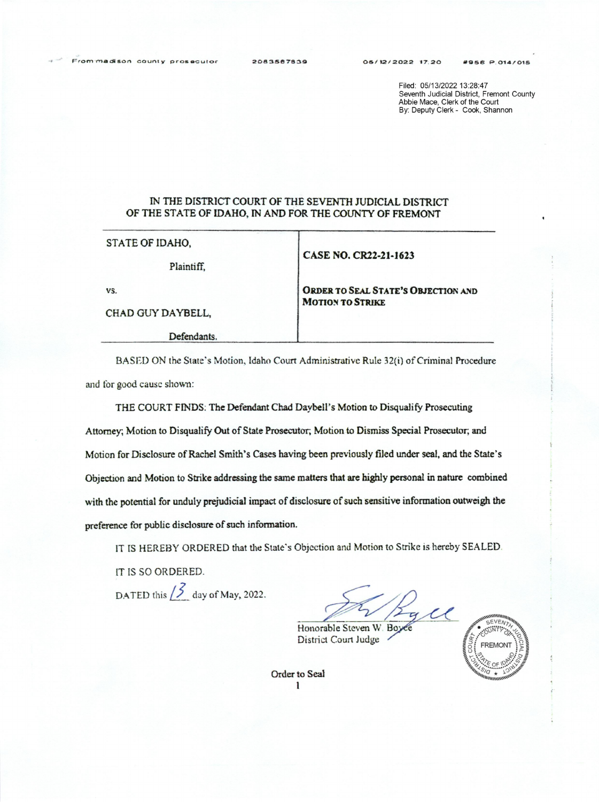Filed: 05/13/2022 13:28:47 Seventh Judicial District, Fremont County Abbie Mace, Clerk of the Court By: Deputy Clerk - Cook, Shannon

## IN THE DISTRICT COURT OF THE SEVENTH JUDIClAL DISTRICT OF THE STATE OF IDAHO, IN AND FOR THE COUNTY OF FREMONT

STATE OF IDAHO,

Plaintiff.

CASE NO. CR22-21-1623

MOTION TO STRIKE

ORDER TO SEAL STATE'S OBJECTION AND

vs.

CHAD GUY DAYBELL,

Defendants.

BASED ON the State's Motion, Idaho Court Administrative Rule 32(i) of Criminal Procedure and for good cause shown:

THE COURT FINDS: The Defendant Chad Daybell's Motion to Disqualify Prosecuting Attorney. Motion to Disqualify Out of State Prosecutor, Motion-to Dismiss Special Prosecutor; and Motion for Disclosure of Rachel Smith's Cases having been previously filed under seal, and the State's Objection and Motion to Strike addressing the same matters that are highly personal in nature combined with the potential for unduly prejudicial impact of disclosure of such sensitive information outweigh the preference for public disclosure of such information.

11' IS HEREBY ORDERED that the State's Objection and Motion to Strike is hereby SEALED.

IT IS so ORDERED.

DATED this  $\begin{matrix} 5 \\ 2 \end{matrix}$  day of May, 2022.

 $\epsilon$ 

Honorable Steven W. Boyes District Court Judge



Order to Seal<br>1